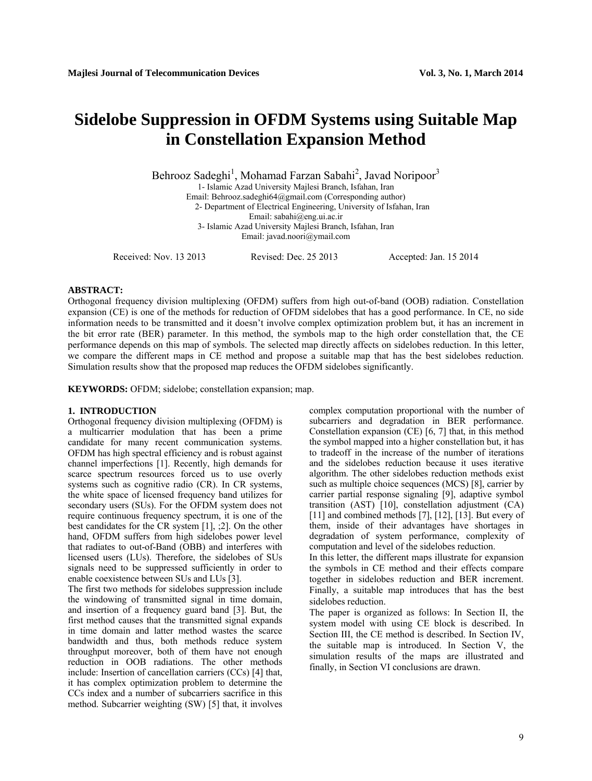# **Sidelobe Suppression in OFDM Systems using Suitable Map in Constellation Expansion Method**

Behrooz Sadeghi<sup>1</sup>, Mohamad Farzan Sabahi<sup>2</sup>, Javad Noripoor<sup>3</sup><br>1- Islamic Azad University Majlesi Branch, Isfahan, Iran

Email: Behrooz.sadeghi64@gmail.com (Corresponding author)

2- Department of Electrical Engineering, University of Isfahan, Iran

Email: sabahi@eng.ui.ac.ir

3- Islamic Azad University Majlesi Branch, Isfahan, Iran

Email: javad.noori@ymail.com

Received: Nov. 13 2013 Revised: Dec. 25 2013 Accepted: Jan. 15 2014

#### **ABSTRACT:**

Orthogonal frequency division multiplexing (OFDM) suffers from high out-of-band (OOB) radiation. Constellation expansion (CE) is one of the methods for reduction of OFDM sidelobes that has a good performance. In CE, no side information needs to be transmitted and it doesn't involve complex optimization problem but, it has an increment in the bit error rate (BER) parameter. In this method, the symbols map to the high order constellation that, the CE performance depends on this map of symbols. The selected map directly affects on sidelobes reduction. In this letter, we compare the different maps in CE method and propose a suitable map that has the best sidelobes reduction. Simulation results show that the proposed map reduces the OFDM sidelobes significantly.

**KEYWORDS:** OFDM; sidelobe; constellation expansion; map.

#### **1. INTRODUCTION**

Orthogonal frequency division multiplexing (OFDM) is a multicarrier modulation that has been a prime candidate for many recent communication systems. OFDM has high spectral efficiency and is robust against channel imperfections [1]. Recently, high demands for scarce spectrum resources forced us to use overly systems such as cognitive radio (CR). In CR systems, the white space of licensed frequency band utilizes for secondary users (SUs). For the OFDM system does not require continuous frequency spectrum, it is one of the best candidates for the CR system [1], ;2]. On the other hand, OFDM suffers from high sidelobes power level that radiates to out-of-Band (OBB) and interferes with licensed users (LUs). Therefore, the sidelobes of SUs signals need to be suppressed sufficiently in order to enable coexistence between SUs and LUs [3].

The first two methods for sidelobes suppression include the windowing of transmitted signal in time domain, and insertion of a frequency guard band [3]. But, the first method causes that the transmitted signal expands in time domain and latter method wastes the scarce bandwidth and thus, both methods reduce system throughput moreover, both of them have not enough reduction in OOB radiations. The other methods include: Insertion of cancellation carriers (CCs) [4] that, it has complex optimization problem to determine the CCs index and a number of subcarriers sacrifice in this method. Subcarrier weighting (SW) [5] that, it involves complex computation proportional with the number of subcarriers and degradation in BER performance. Constellation expansion (CE) [6, 7] that, in this method the symbol mapped into a higher constellation but, it has to tradeoff in the increase of the number of iterations and the sidelobes reduction because it uses iterative algorithm. The other sidelobes reduction methods exist such as multiple choice sequences (MCS) [8], carrier by carrier partial response signaling [9], adaptive symbol transition (AST) [10], constellation adjustment (CA)  $[11]$  and combined methods  $[7]$ ,  $[12]$ ,  $[13]$ . But every of them, inside of their advantages have shortages in degradation of system performance, complexity of computation and level of the sidelobes reduction.

In this letter, the different maps illustrate for expansion the symbols in CE method and their effects compare together in sidelobes reduction and BER increment. Finally, a suitable map introduces that has the best sidelobes reduction.

The paper is organized as follows: In Section II, the system model with using CE block is described. In Section III, the CE method is described. In Section IV, the suitable map is introduced. In Section V, the simulation results of the maps are illustrated and finally, in Section VІ conclusions are drawn.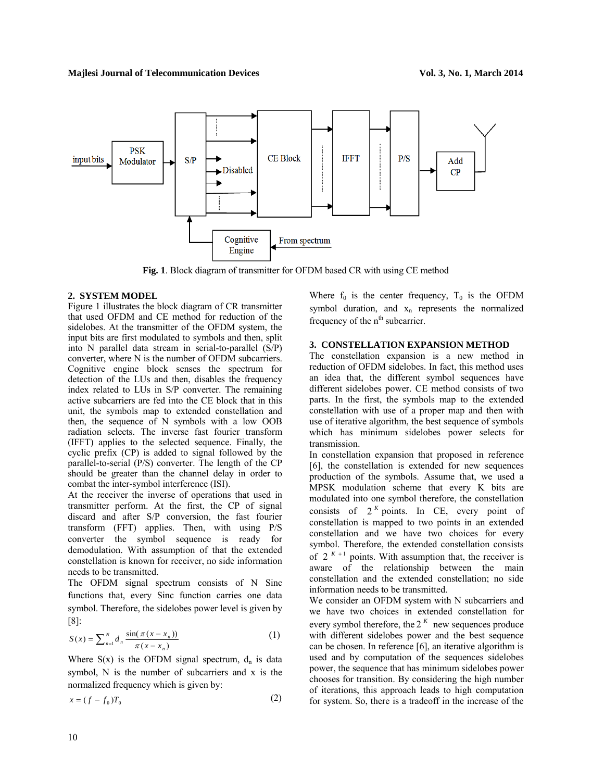

**Fig. 1**. Block diagram of transmitter for OFDM based CR with using CE method

# **2. SYSTEM MODEL**

Figure 1 illustrates the block diagram of CR transmitter that used OFDM and CE method for reduction of the sidelobes. At the transmitter of the OFDM system, the input bits are first modulated to symbols and then, split into N parallel data stream in serial-to-parallel (S/P) converter, where N is the number of OFDM subcarriers. Cognitive engine block senses the spectrum for detection of the LUs and then, disables the frequency index related to LUs in S/P converter. The remaining active subcarriers are fed into the CE block that in this unit, the symbols map to extended constellation and then, the sequence of N symbols with a low OOB radiation selects. The inverse fast fourier transform (IFFT) applies to the selected sequence. Finally, the cyclic prefix (CP) is added to signal followed by the parallel-to-serial (P/S) converter. The length of the CP should be greater than the channel delay in order to combat the inter-symbol interference (ISI).

At the receiver the inverse of operations that used in transmitter perform. At the first, the CP of signal discard and after S/P conversion, the fast fourier transform (FFT) applies. Then, with using P/S converter the symbol sequence is ready for demodulation. With assumption of that the extended constellation is known for receiver, no side information needs to be transmitted.

The OFDM signal spectrum consists of N Sinc functions that, every Sinc function carries one data symbol. Therefore, the sidelobes power level is given by [8]:

$$
S(x) = \sum_{n=1}^{N} d_n \frac{\sin(\pi(x - x_n))}{\pi(x - x_n)}
$$
 (1)

Where  $S(x)$  is the OFDM signal spectrum,  $d_n$  is data symbol, N is the number of subcarriers and x is the normalized frequency which is given by:

$$
x = (f - f_0)T_0 \tag{2}
$$

Where  $f_0$  is the center frequency,  $T_0$  is the OFDM symbol duration, and  $x_n$  represents the normalized frequency of the  $n<sup>th</sup>$  subcarrier.

# **3. CONSTELLATION EXPANSION METHOD**

The constellation expansion is a new method in reduction of OFDM sidelobes. In fact, this method uses an idea that, the different symbol sequences have different sidelobes power. CE method consists of two parts. In the first, the symbols map to the extended constellation with use of a proper map and then with use of iterative algorithm, the best sequence of symbols which has minimum sidelobes power selects for transmission.

In constellation expansion that proposed in reference [6], the constellation is extended for new sequences production of the symbols. Assume that, we used a MPSK modulation scheme that every K bits are modulated into one symbol therefore, the constellation consists of  $2^{k}$  points. In CE, every point of constellation is mapped to two points in an extended constellation and we have two choices for every symbol. Therefore, the extended constellation consists of  $2^{K+1}$  points. With assumption that, the receiver is aware of the relationship between the main constellation and the extended constellation; no side information needs to be transmitted.

We consider an OFDM system with N subcarriers and we have two choices in extended constellation for every symbol therefore, the  $2^{K}$  new sequences produce with different sidelobes power and the best sequence can be chosen. In reference [6], an iterative algorithm is used and by computation of the sequences sidelobes power, the sequence that has minimum sidelobes power chooses for transition. By considering the high number of iterations, this approach leads to high computation for system. So, there is a tradeoff in the increase of the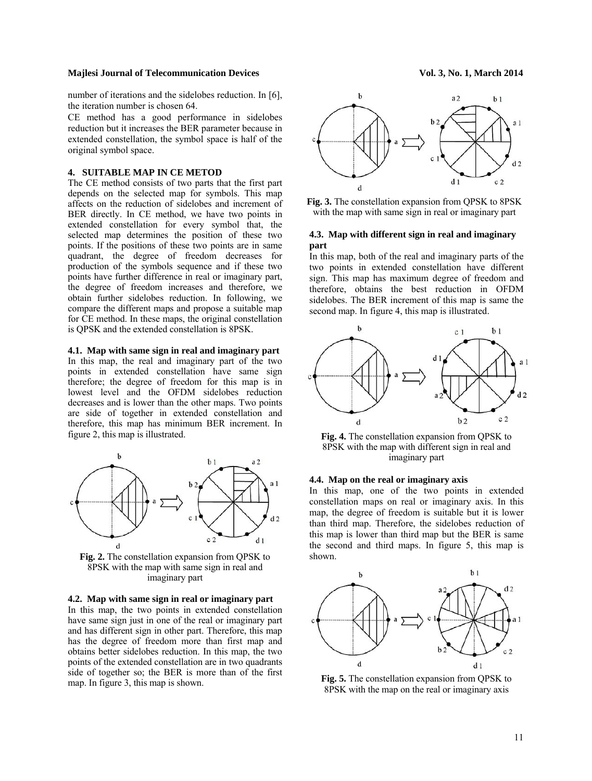### **Majlesi Journal of Telecommunication Devices Vol. 3, No. 1, March 2014**

number of iterations and the sidelobes reduction. In [6], the iteration number is chosen 64.

CE method has a good performance in sidelobes reduction but it increases the BER parameter because in extended constellation, the symbol space is half of the original symbol space.

## **4. SUITABLE MAP IN CE METOD**

The CE method consists of two parts that the first part depends on the selected map for symbols. This map affects on the reduction of sidelobes and increment of BER directly. In CE method, we have two points in extended constellation for every symbol that, the selected map determines the position of these two points. If the positions of these two points are in same quadrant, the degree of freedom decreases for production of the symbols sequence and if these two points have further difference in real or imaginary part, the degree of freedom increases and therefore, we obtain further sidelobes reduction. In following, we compare the different maps and propose a suitable map for CE method. In these maps, the original constellation is QPSK and the extended constellation is 8PSK.

## **4.1. Map with same sign in real and imaginary part**

In this map, the real and imaginary part of the two points in extended constellation have same sign therefore; the degree of freedom for this map is in lowest level and the OFDM sidelobes reduction decreases and is lower than the other maps. Two points are side of together in extended constellation and therefore, this map has minimum BER increment. In figure 2, this map is illustrated.



**Fig. 2.** The constellation expansion from QPSK to 8PSK with the map with same sign in real and imaginary part

**4.2. Map with same sign in real or imaginary part** 

In this map, the two points in extended constellation have same sign just in one of the real or imaginary part and has different sign in other part. Therefore, this map has the degree of freedom more than first map and obtains better sidelobes reduction. In this map, the two points of the extended constellation are in two quadrants side of together so; the BER is more than of the first map. In figure 3, this map is shown.



**Fig. 3.** The constellation expansion from QPSK to 8PSK with the map with same sign in real or imaginary part

# **4.3. Map with different sign in real and imaginary part**

In this map, both of the real and imaginary parts of the two points in extended constellation have different sign. This map has maximum degree of freedom and therefore, obtains the best reduction in OFDM sidelobes. The BER increment of this map is same the second map. In figure 4, this map is illustrated.



**Fig. 4.** The constellation expansion from QPSK to 8PSK with the map with different sign in real and imaginary part

# **4.4. Map on the real or imaginary axis**

In this map, one of the two points in extended constellation maps on real or imaginary axis. In this map, the degree of freedom is suitable but it is lower than third map. Therefore, the sidelobes reduction of this map is lower than third map but the BER is same the second and third maps. In figure 5, this map is shown.



**Fig. 5.** The constellation expansion from QPSK to 8PSK with the map on the real or imaginary axis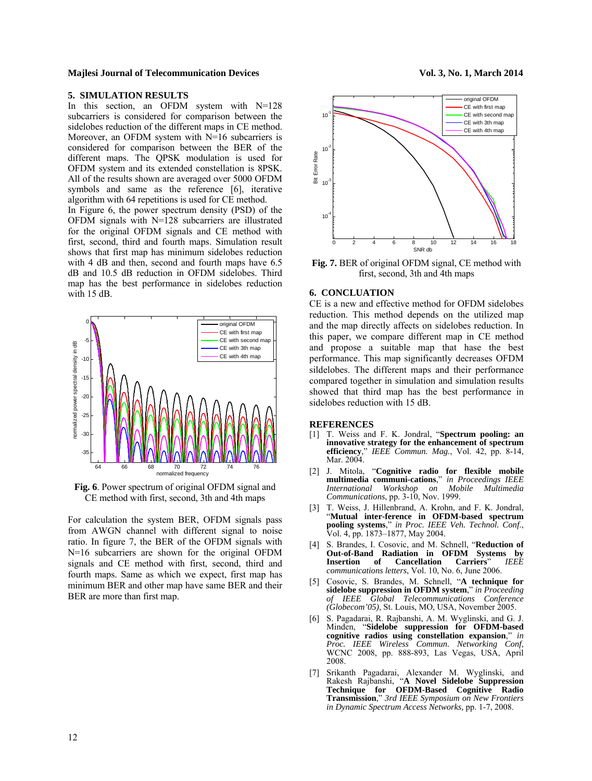#### **Majlesi Journal of Telecommunication Devices Vol. 3, No. 1, March 2014**

# **5. SIMULATION RESULTS**

In this section, an OFDM system with N=128 subcarriers is considered for comparison between the sidelobes reduction of the different maps in CE method. Moreover, an OFDM system with N=16 subcarriers is considered for comparison between the BER of the different maps. The QPSK modulation is used for OFDM system and its extended constellation is 8PSK. All of the results shown are averaged over 5000 OFDM symbols and same as the reference [6], iterative algorithm with 64 repetitions is used for CE method. In Figure 6, the power spectrum density (PSD) of the

OFDM signals with N=128 subcarriers are illustrated for the original OFDM signals and CE method with first, second, third and fourth maps. Simulation result shows that first map has minimum sidelobes reduction with 4 dB and then, second and fourth maps have  $6.5$ dB and 10.5 dB reduction in OFDM sidelobes. Third map has the best performance in sidelobes reduction with 15 dB.



**Fig. 6**. Power spectrum of original OFDM signal and CE method with first, second, 3th and 4th maps

For calculation the system BER, OFDM signals pass from AWGN channel with different signal to noise ratio. In figure 7, the BER of the OFDM signals with N=16 subcarriers are shown for the original OFDM signals and CE method with first, second, third and fourth maps. Same as which we expect, first map has minimum BER and other map have same BER and their BER are more than first map.





**Fig. 7.** BER of original OFDM signal, CE method with first, second, 3th and 4th maps

## **6. CONCLUATION**

10-1

CE is a new and effective method for OFDM sidelobes reduction. This method depends on the utilized map and the map directly affects on sidelobes reduction. In this paper, we compare different map in CE method and propose a suitable map that hase the best performance. This map significantly decreases OFDM sildelobes. The different maps and their performance compared together in simulation and simulation results showed that third map has the best performance in sidelobes reduction with 15 dB.

#### **REFERENCES**

- [1] T. Weiss and F. K. Jondral, "**Spectrum pooling: an**  innovative strategy for the enhancement of spectrum efficiency," IEEE Commun. Mag., Vol. 42, pp. 8-14, **efficiency**," *IEEE Commun. Mag.*, Vol. 42, pp. 8-14, Mar. 2004.
- [2] J. Mitola, "**Cognitive radio for flexible mobile multimedia communi-cations**," *in Proceedings IEEE International Workshop on Mobile Multimedia Communications*, pp. 3-10, Nov. 1999.
- [3] T. Weiss, J. Hillenbrand, A. Krohn, and F. K. Jondral, "**Mutual inter-ference in OFDM-based spectrum pooling systems**," *in Proc. IEEE Veh. Technol. Conf*., Vol. 4, pp. 1873–1877, May 2004.
- [4] S. Brandes, I. Cosovic, and M. Schnell, "**Reduction of Out-of-Band Radiation in OFDM Systems by**   $of$  **Cancellation** *communications letters*, Vol. 10, No. 6, June 2006.
- [5] Cosovic, S. Brandes, M. Schnell, "**A technique for sidelobe suppression in OFDM system**," *in Proceeding of IEEE Global Telecommunications Conference (Globecom'05)*, St. Louis, MO, USA, November 2005.
- [6] S. Pagadarai, R. Rajbanshi, A. M. Wyglinski, and G. J. Minden, "**Sidelobe suppression for OFDM-based cognitive radios using constellation expansion**," *in*  WCNC 2008, pp. 888-893, Las Vegas, USA, April 2008.
- [7] Srikanth Pagadarai, Alexander M. Wyglinski, and Rakesh Rajbanshi, "**A Novel Sidelobe Suppression Technique for OFDM-Based Cognitive Radio Transmission**," *3rd IEEE Symposium on New Frontiers in Dynamic Spectrum Access Networks,* pp. 1-7, 2008.